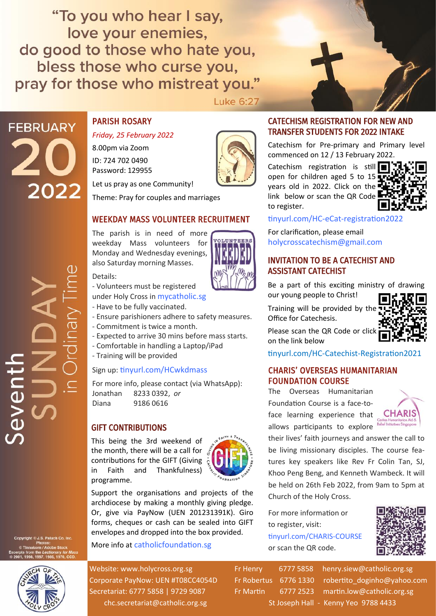"To you who hear I say, love your enemies, do good to those who hate you, bless those who curse you, pray for those who mistreat you."

**Luke 6:27** 

**FEBRUARY** 2022

# PARISH ROSARY

*Friday, 25 February 2022*

8.00pm via Zoom ID: 724 702 0490 Password: 129955

Let us pray as one Community!

Theme: Pray for couples and marriages

## WEEKDAY MASS VOLUNTEER RECRUITMENT

The parish is in need of more weekday Mass volunteers for Monday and Wednesday evenings, also Saturday morning Masses.

#### Details:

- Volunteers must be registered

under Holy Cross in [mycatholic.sg](https://mycatholic.sg)

- Have to be fully vaccinated.
- Ensure parishioners adhere to safety measures.
- Commitment is twice a month.
- Expected to arrive 30 mins before mass starts.
- Comfortable in handling a Laptop/iPad
- Training will be provided

#### Sign up: [tinyurl.com/HCwkdmass](https://tinyurl.com/HCwkdmass)

For more info, please contact (via WhatsApp): Jonathan 8233 0392, *or*  Diana 9186 0616

#### GIFT CONTRIBUTIONS

This being the 3rd weekend of the month, there will be a call for contributions for the GIFT (Giving in Faith and Thankfulness) programme.

Support the organisations and projects of the archdiocese by making a monthly giving pledge. Or, give via PayNow (UEN 201231391K). Giro forms, cheques or cash can be sealed into GIFT envelopes and dropped into the box provided.

#### More info at [catholicfoundation.sg](http://catholicfoundation.sg)

Website: www.holycross.org.sg Fr Henry 6777 5858 henry.siew@catholic.org.sg Corporate PayNow: UEN #T08CC4054D Fr Robertus 6776 1330 robertito doginho@yahoo.com Secretariat: 6777 5858 | 9729 9087 Fr Martin 6777 2523 martin.low@catholic.org.sg chc.secretariat@catholic.org.sg St Joseph Hall - Kenny Yeo 9788 4433

CATECHISM REGISTRATION FOR NEW AND TRANSFER STUDENTS FOR 2022 INTAKE

Catechism for Pre-primary and Primary level commenced on 12 / 13 February 2022.

Catechism registration is still  $\blacksquare$ open for children aged 5 to 15 years old in 2022. Click on the link below or scan the QR Code to register.



#### tinyurl.com/HC-eCat-[registration2022](https://tinyurl.com/HC-eCat-registration2022)

For clarification, please email [holycrosscatechism@gmail.com](mailto:holycrosscatechism@gmail.com?subject=Catechism%202022)

#### INVITATION TO BE A CATECHIST AND ASSISTANT CATECHIST

Be a part of this exciting ministry of drawing our young people to Christ!

Training will be provided by the Office for Catechesis.



Please scan the QR Code or click on the link below

tinyurl.com/HC-Catechist-[Registration2021](https://tinyurl.com/HC-Catechist-Registration2021)

#### CHARIS' OVERSEAS HUMANITARIAN FOUNDATION COURSE

The Overseas Humanitarian Foundation Course is a face-toface learning experience that allows participants to explore



their lives' faith journeys and answer the call to be living missionary disciples. The course features key speakers like Rev Fr Colin Tan, SJ, Khoo Peng Beng, and Kenneth Wambeck. It will be held on 26th Feb 2022, from 9am to 5pm at Church of the Holy Cross.

For more information or to register, visit: [tinyurl.com/CHARIS](https://tinyurl.com/CHARIS-COURSE)-COURSE or scan the QR code.